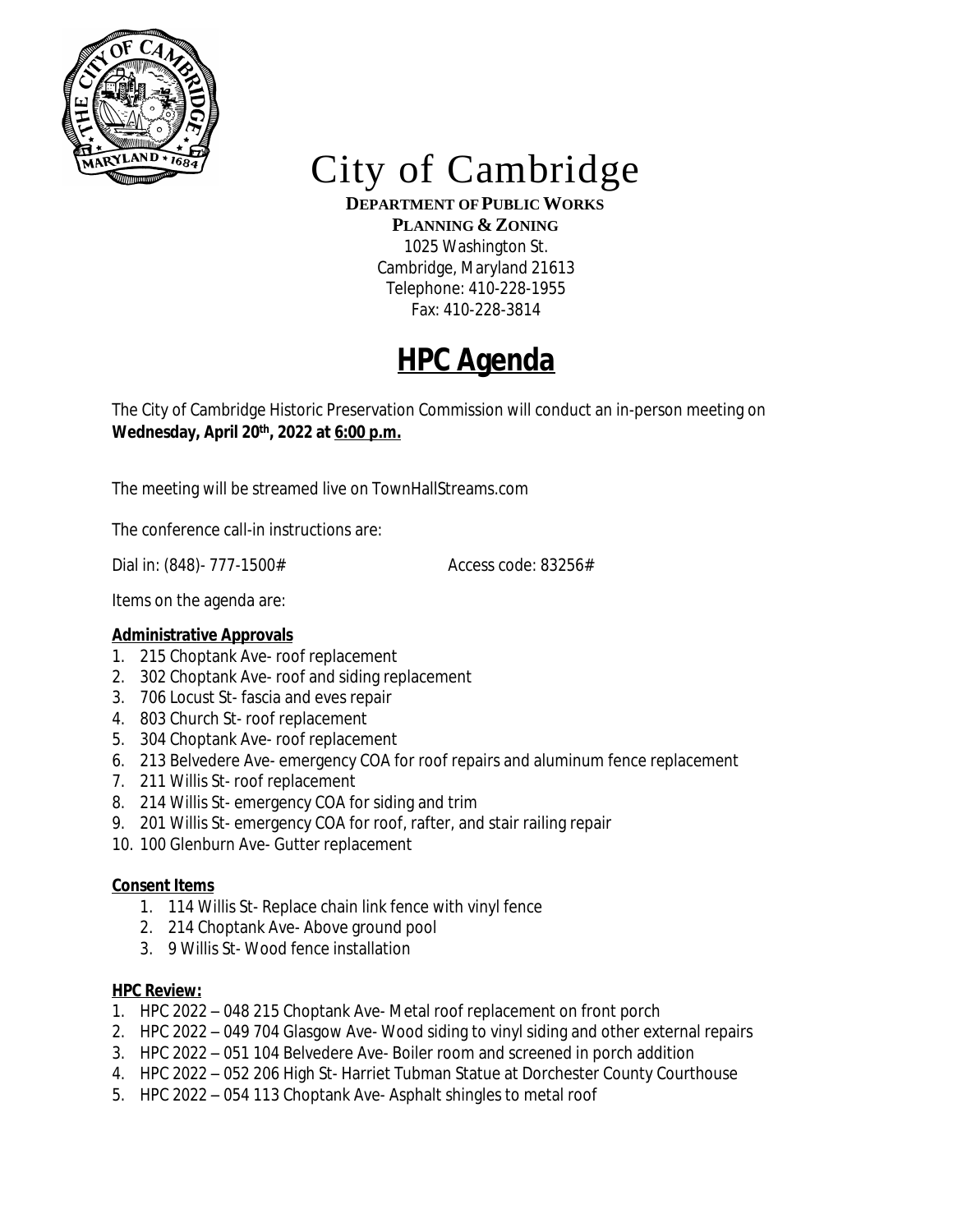

# City of Cambridge

**DEPARTMENT OF PUBLIC WORKS**

**PLANNING & ZONING** 1025 Washington St. Cambridge, Maryland 21613 Telephone: 410-228-1955 Fax: 410-228-3814

## **HPC Agenda**

The City of Cambridge Historic Preservation Commission will conduct an in-person meeting on **Wednesday, April 20th , 2022 at 6:00 p.m.**

The meeting will be streamed live on TownHallStreams.com

The conference call-in instructions are:

Dial in: (848)- 777-1500# Access code: 83256#

Items on the agenda are:

### **Administrative Approvals**

- 1. 215 Choptank Ave- roof replacement
- 2. 302 Choptank Ave- roof and siding replacement
- 3. 706 Locust St- fascia and eves repair
- 4. 803 Church St- roof replacement
- 5. 304 Choptank Ave- roof replacement
- 6. 213 Belvedere Ave- emergency COA for roof repairs and aluminum fence replacement
- 7. 211 Willis St- roof replacement
- 8. 214 Willis St- emergency COA for siding and trim
- 9. 201 Willis St- emergency COA for roof, rafter, and stair railing repair
- 10. 100 Glenburn Ave- Gutter replacement

#### **Consent Items**

- 1. 114 Willis St- Replace chain link fence with vinyl fence
- 2. 214 Choptank Ave- Above ground pool
- 3. 9 Willis St- Wood fence installation

#### **HPC Review:**

- 1. HPC 2022 048 215 Choptank Ave- Metal roof replacement on front porch
- 2. HPC 2022 049 704 Glasgow Ave- Wood siding to vinyl siding and other external repairs
- 3. HPC 2022 051 104 Belvedere Ave- Boiler room and screened in porch addition
- 4. HPC 2022 052 206 High St- Harriet Tubman Statue at Dorchester County Courthouse
- 5. HPC 2022 054 113 Choptank Ave- Asphalt shingles to metal roof